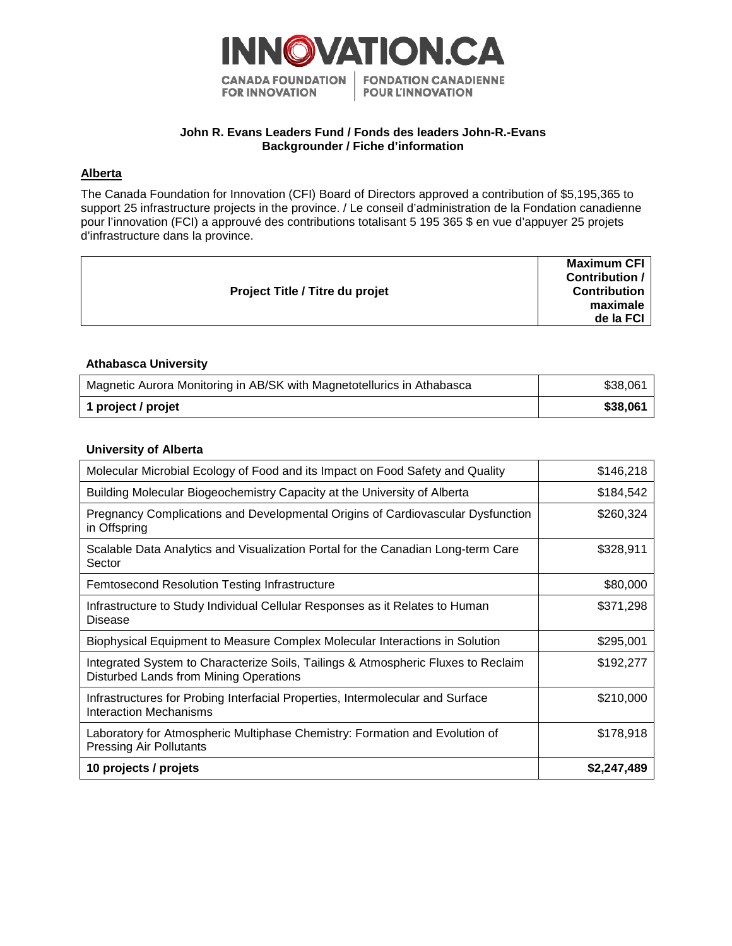

# **John R. Evans Leaders Fund / Fonds des leaders John-R.-Evans Backgrounder / Fiche d'information**

## **Alberta**

The Canada Foundation for Innovation (CFI) Board of Directors approved a contribution of \$5,195,365 to support 25 infrastructure projects in the province. / Le conseil d'administration de la Fondation canadienne pour l'innovation (FCI) a approuvé des contributions totalisant 5 195 365 \$ en vue d'appuyer 25 projets d'infrastructure dans la province.

| Project Title / Titre du projet | <b>Maximum CFI</b>  |
|---------------------------------|---------------------|
|                                 | Contribution /      |
|                                 | <b>Contribution</b> |
|                                 | maximale            |
|                                 | de la FCI           |
|                                 |                     |

## **Athabasca University**

| Magnetic Aurora Monitoring in AB/SK with Magnetotellurics in Athabasca | \$38,061 |
|------------------------------------------------------------------------|----------|
| 1 project / projet                                                     | \$38,061 |

### **University of Alberta**

| Molecular Microbial Ecology of Food and its Impact on Food Safety and Quality                                               | \$146,218   |
|-----------------------------------------------------------------------------------------------------------------------------|-------------|
| Building Molecular Biogeochemistry Capacity at the University of Alberta                                                    | \$184,542   |
| Pregnancy Complications and Developmental Origins of Cardiovascular Dysfunction<br>in Offspring                             | \$260,324   |
| Scalable Data Analytics and Visualization Portal for the Canadian Long-term Care<br>Sector                                  | \$328,911   |
| Femtosecond Resolution Testing Infrastructure                                                                               | \$80,000    |
| Infrastructure to Study Individual Cellular Responses as it Relates to Human<br>Disease                                     | \$371,298   |
| Biophysical Equipment to Measure Complex Molecular Interactions in Solution                                                 | \$295,001   |
| Integrated System to Characterize Soils, Tailings & Atmospheric Fluxes to Reclaim<br>Disturbed Lands from Mining Operations | \$192,277   |
| Infrastructures for Probing Interfacial Properties, Intermolecular and Surface<br><b>Interaction Mechanisms</b>             | \$210,000   |
| Laboratory for Atmospheric Multiphase Chemistry: Formation and Evolution of<br><b>Pressing Air Pollutants</b>               | \$178,918   |
| 10 projects / projets                                                                                                       | \$2,247,489 |